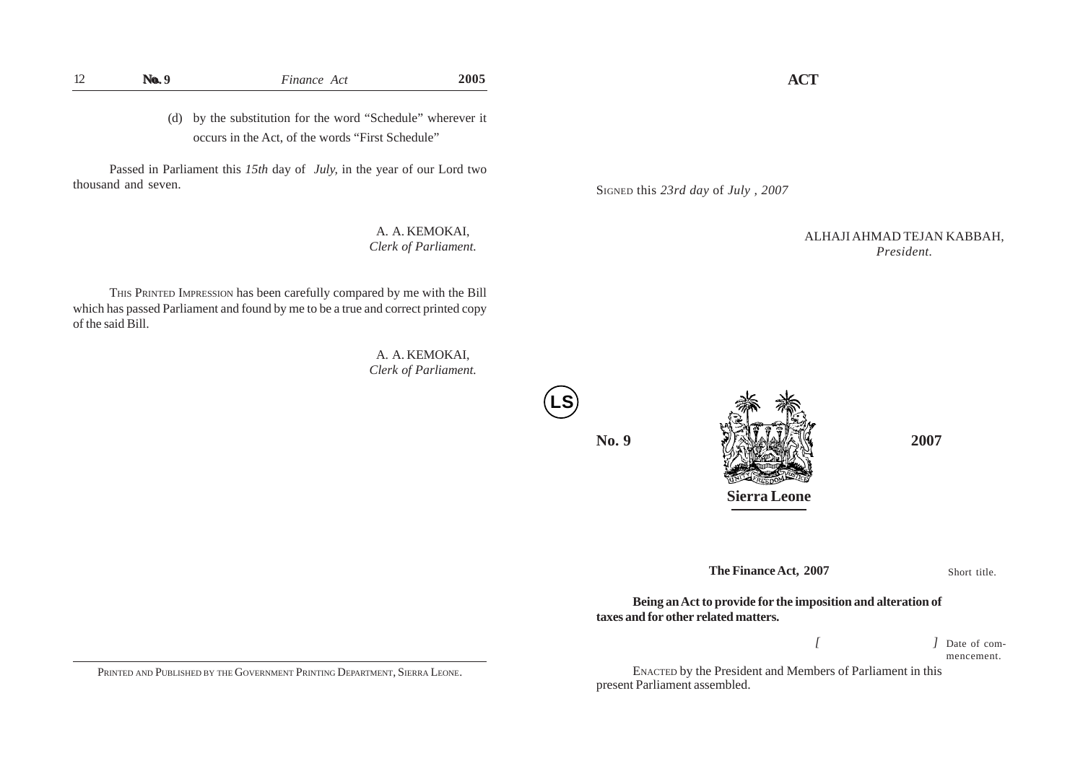(d) by the substitution for the word "Schedule" wherever it occurs in the Act, of the words "First Schedule"

Passed in Parliament this *15th* day of *July,* in the year of our Lord two thousand and seven.

> A. A. KEMOKAI, *Clerk of Parliament.*

THIS PRINTED IMPRESSION has been carefully compared by me with the Bill which has passed Parliament and found by me to be a true and correct printed copy of the said Bill.

> A. A. KEMOKAI, *Clerk of Parliament.*



**No. 9 2007 1. 2007** 

ALHAJI AHMAD TEJAN KABBAH, *President.*

**The Finance Act, 2007**

**Sierra Leone**

Short title.

**Being an Act to provide for the imposition and alteration of taxes and for other related matters.**

> *[ ]* Date of commencement.

ENACTED by the President and Members of Parliament in this present Parliament assembled.

PRINTED AND PUBLISHED BY THE GOVERNMENT PRINTING DEPARTMENT, SIERRA LEONE.

**ACT**

SIGNED this *23rd day* of *July , 2007*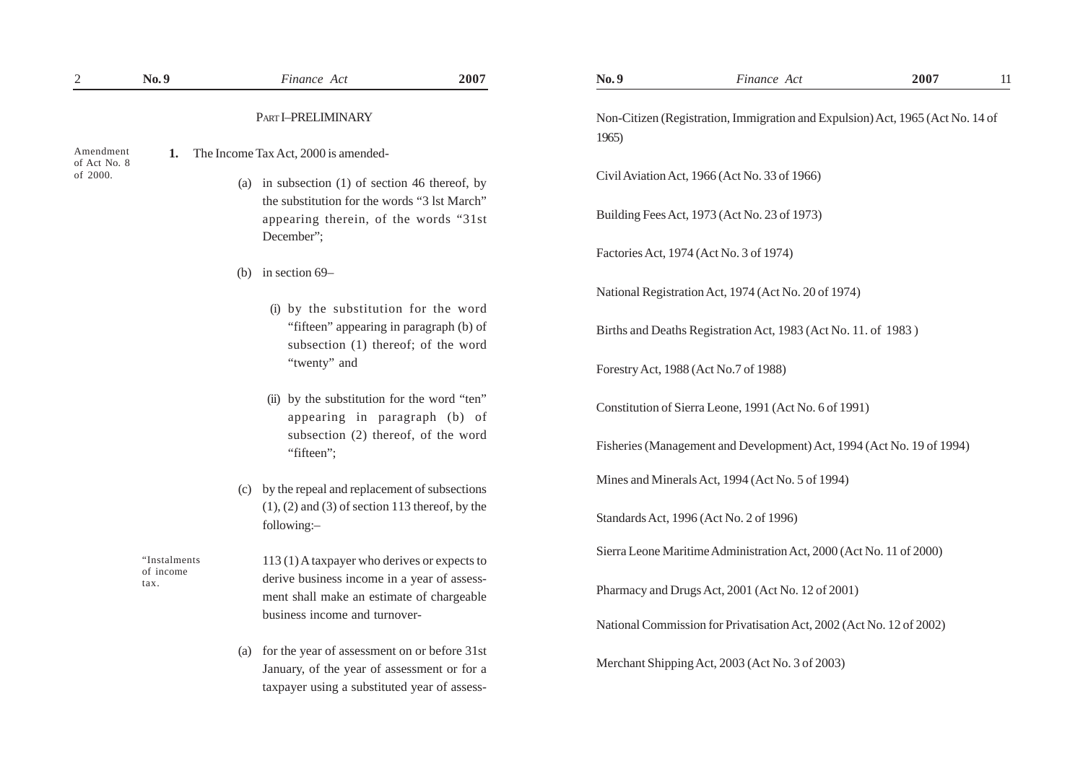| $\mathbf{2}$                          | No.9                      |     | Finance Act                                                                                                                                                               | 2007 | No.9                                                                                    | Finance Act                                                           | 2007 | 11 |
|---------------------------------------|---------------------------|-----|---------------------------------------------------------------------------------------------------------------------------------------------------------------------------|------|-----------------------------------------------------------------------------------------|-----------------------------------------------------------------------|------|----|
|                                       |                           |     | PART I-PRELIMINARY                                                                                                                                                        |      | Non-Citizen (Registration, Immigration and Expulsion) Act, 1965 (Act No. 14 of<br>1965) |                                                                       |      |    |
| Amendment<br>of Act No. 8<br>of 2000. | 1.                        |     | The Income Tax Act, 2000 is amended-                                                                                                                                      |      |                                                                                         |                                                                       |      |    |
|                                       |                           |     | (a) in subsection $(1)$ of section 46 thereof, by<br>the substitution for the words "3 lst March"                                                                         |      |                                                                                         | Civil Aviation Act, 1966 (Act No. 33 of 1966)                         |      |    |
|                                       |                           |     | appearing therein, of the words "31st<br>December";                                                                                                                       |      |                                                                                         | Building Fees Act, 1973 (Act No. 23 of 1973)                          |      |    |
|                                       |                           |     |                                                                                                                                                                           |      |                                                                                         | Factories Act, 1974 (Act No. 3 of 1974)                               |      |    |
|                                       |                           | (b) | in section 69-                                                                                                                                                            |      |                                                                                         |                                                                       |      |    |
|                                       |                           |     | (i) by the substitution for the word                                                                                                                                      |      |                                                                                         | National Registration Act, 1974 (Act No. 20 of 1974)                  |      |    |
|                                       |                           |     | "fifteen" appearing in paragraph (b) of<br>subsection (1) thereof; of the word<br>"twenty" and                                                                            |      |                                                                                         | Births and Deaths Registration Act, 1983 (Act No. 11. of 1983)        |      |    |
|                                       |                           |     |                                                                                                                                                                           |      |                                                                                         | Forestry Act, 1988 (Act No.7 of 1988)                                 |      |    |
|                                       |                           |     | (ii) by the substitution for the word "ten"<br>appearing in paragraph (b) of                                                                                              |      |                                                                                         | Constitution of Sierra Leone, 1991 (Act No. 6 of 1991)                |      |    |
|                                       |                           |     | subsection (2) thereof, of the word<br>"fifteen";                                                                                                                         |      |                                                                                         | Fisheries (Management and Development) Act, 1994 (Act No. 19 of 1994) |      |    |
|                                       |                           | (c) | by the repeal and replacement of subsections<br>$(1)$ , $(2)$ and $(3)$ of section 113 thereof, by the<br>following:-                                                     |      |                                                                                         | Mines and Minerals Act, 1994 (Act No. 5 of 1994)                      |      |    |
|                                       |                           |     |                                                                                                                                                                           |      |                                                                                         | Standards Act, 1996 (Act No. 2 of 1996)                               |      |    |
|                                       | "Instalments<br>of income |     | 113 (1) A taxpayer who derives or expects to<br>derive business income in a year of assess-<br>ment shall make an estimate of chargeable<br>business income and turnover- |      |                                                                                         | Sierra Leone Maritime Administration Act, 2000 (Act No. 11 of 2000)   |      |    |
|                                       | tax.                      |     |                                                                                                                                                                           |      |                                                                                         | Pharmacy and Drugs Act, 2001 (Act No. 12 of 2001)                     |      |    |
|                                       |                           |     |                                                                                                                                                                           |      |                                                                                         | National Commission for Privatisation Act, 2002 (Act No. 12 of 2002)  |      |    |
|                                       |                           | (a) | for the year of assessment on or before 31st<br>January, of the year of assessment or for a<br>taxpayer using a substituted year of assess-                               |      |                                                                                         | Merchant Shipping Act, 2003 (Act No. 3 of 2003)                       |      |    |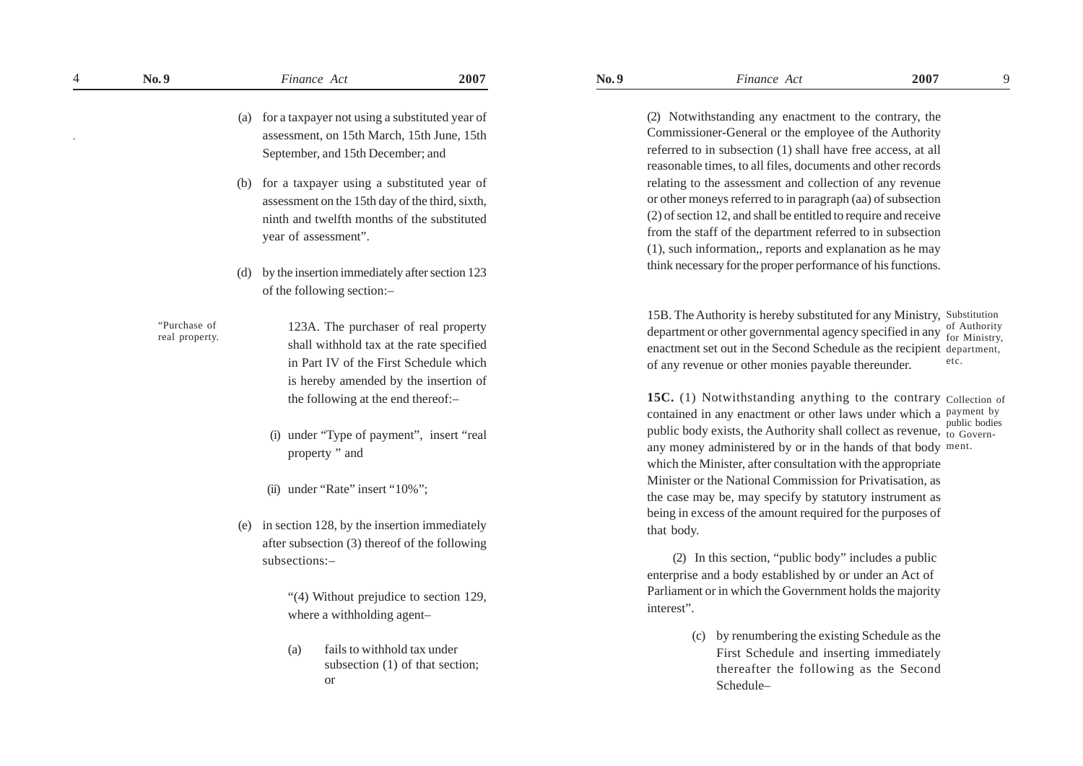| 4 | No.9           |     | Finance Act                                      | 2007                       | No.9                                                    | Finance Act                                                                                                                    | 2007 |
|---|----------------|-----|--------------------------------------------------|----------------------------|---------------------------------------------------------|--------------------------------------------------------------------------------------------------------------------------------|------|
|   |                |     |                                                  |                            |                                                         |                                                                                                                                |      |
|   |                | (a) | for a taxpayer not using a substituted year of   |                            |                                                         | (2) Notwithstanding any enactment to the contrary, the                                                                         |      |
|   |                |     | assessment, on 15th March, 15th June, 15th       |                            |                                                         | Commissioner-General or the employee of the Authority                                                                          |      |
|   |                |     | September, and 15th December; and                |                            |                                                         | referred to in subsection (1) shall have free access, at all                                                                   |      |
|   |                |     |                                                  |                            |                                                         | reasonable times, to all files, documents and other records                                                                    |      |
|   |                |     | (b) for a taxpayer using a substituted year of   |                            |                                                         | relating to the assessment and collection of any revenue                                                                       |      |
|   |                |     | assessment on the 15th day of the third, sixth,  |                            |                                                         | or other moneys referred to in paragraph (aa) of subsection<br>(2) of section 12, and shall be entitled to require and receive |      |
|   |                |     | ninth and twelfth months of the substituted      |                            |                                                         | from the staff of the department referred to in subsection                                                                     |      |
|   |                |     | year of assessment".                             |                            |                                                         | (1), such information,, reports and explanation as he may                                                                      |      |
|   |                |     |                                                  |                            |                                                         | think necessary for the proper performance of his functions                                                                    |      |
|   |                | (d) | by the insertion immediately after section 123   |                            |                                                         |                                                                                                                                |      |
|   |                |     | of the following section:-                       |                            |                                                         |                                                                                                                                |      |
|   |                |     |                                                  |                            |                                                         | 15B. The Authority is hereby substituted for any Ministry                                                                      |      |
|   | "Purchase of   |     | 123A. The purchaser of real property             |                            |                                                         | department or other governmental agency specified in any                                                                       |      |
|   | real property. |     | shall withhold tax at the rate specified         |                            |                                                         | enactment set out in the Second Schedule as the recipien                                                                       |      |
|   |                |     | in Part IV of the First Schedule which           |                            |                                                         | of any revenue or other monies payable thereunder.                                                                             |      |
|   |                |     | is hereby amended by the insertion of            |                            |                                                         |                                                                                                                                |      |
|   |                |     | the following at the end thereof:-               |                            |                                                         | 15C. (1) Notwithstanding anything to the contrary                                                                              |      |
|   |                |     |                                                  |                            |                                                         | contained in any enactment or other laws under which a                                                                         |      |
|   |                |     | (i) under "Type of payment", insert "real        |                            |                                                         | public body exists, the Authority shall collect as revenue                                                                     |      |
|   |                |     | property " and                                   |                            |                                                         | any money administered by or in the hands of that body                                                                         |      |
|   |                |     |                                                  |                            |                                                         | which the Minister, after consultation with the appropriate                                                                    |      |
|   |                |     | (ii) under "Rate" insert "10%";                  |                            |                                                         | Minister or the National Commission for Privatisation, as                                                                      |      |
|   |                |     |                                                  |                            |                                                         | the case may be, may specify by statutory instrument as                                                                        |      |
|   |                |     |                                                  |                            |                                                         | being in excess of the amount required for the purposes of                                                                     |      |
|   |                |     | (e) in section 128, by the insertion immediately |                            |                                                         | that body.                                                                                                                     |      |
|   |                |     | after subsection (3) thereof of the following    |                            |                                                         | (2) In this section, "public body" includes a public                                                                           |      |
|   |                |     | subsections:-                                    |                            | enterprise and a body established by or under an Act of |                                                                                                                                |      |
|   |                |     |                                                  |                            |                                                         | Parliament or in which the Government holds the majority                                                                       |      |
|   |                |     | "(4) Without prejudice to section 129,           |                            |                                                         | interest".                                                                                                                     |      |
|   |                |     |                                                  | where a withholding agent- |                                                         |                                                                                                                                |      |
|   |                |     |                                                  |                            |                                                         | by renumbering the existing Schedule as the<br>(c)                                                                             |      |
|   |                |     | fails to withhold tax under<br>(a)               |                            |                                                         | First Schedule and inserting immediately                                                                                       |      |
|   |                |     | subsection (1) of that section;                  |                            |                                                         | thereafter the following as the Second                                                                                         |      |
|   |                |     | <sub>or</sub>                                    |                            |                                                         | $S$ chodulo                                                                                                                    |      |

15B. The Authority is hereby substituted for any Ministry, Substitution department or other governmental agency specified in any  $\frac{1}{2}$  for Ministry enactment set out in the Second Schedule as the recipient department, of any revenue or other monies payable thereunder. for Ministry, etc.

15C. (1) Notwithstanding anything to the contrary Collection of contained in any enactment or other laws under which a payment by public body exists, the Authority shall collect as revenue, to Governany money administered by or in the hands of that body ment.which the Minister, after consultation with the appropriate Minister or the National Commission for Privatisation, as the case may be, may specify by statutory instrument as being in excess of the amount required for the purposes of that body. to Govern-

> (c) by renumbering the existing Schedule as the First Schedule and inserting immediately thereafter the following as the Second Schedule–

9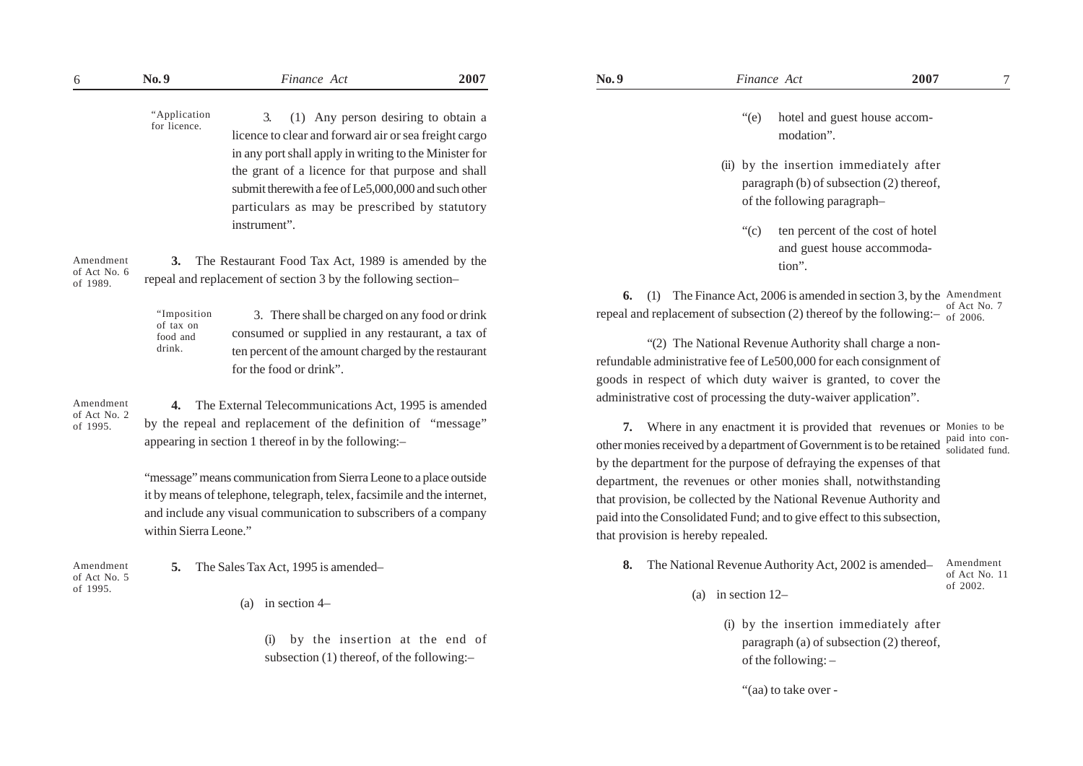| "Application |
|--------------|
| for licence. |

3. (1) Any person desiring to obtain a licence to clear and forward air or sea freight cargo in any port shall apply in writing to the Minister for the grant of a licence for that purpose and shall submit therewith a fee of Le5,000,000 and such other particulars as may be prescribed by statutory instrument".

Amendment of Act No. 6 of 1989.

**3.** The Restaurant Food Tax Act, 1989 is amended by the repeal and replacement of section 3 by the following section–

3. There shall be charged on any food or drink consumed or supplied in any restaurant, a tax of ten percent of the amount charged by the restaurant for the food or drink". "Imposition of tax on food and drink.

Amendment of Act No. 2 of 1995.

**4.** The External Telecommunications Act, 1995 is amended by the repeal and replacement of the definition of "message" appearing in section 1 thereof in by the following:–

"message" means communication from Sierra Leone to a place outside it by means of telephone, telegraph, telex, facsimile and the internet, and include any visual communication to subscribers of a company within Sierra Leone."

Amendment of Act No. 5 of 1995.

- **5.** The Sales Tax Act, 1995 is amended–
	- (a) in section 4–

by the insertion at the end of subsection (1) thereof, of the following:–

- "(e) hotel and guest house accommodation".
- (ii) by the insertion immediately after paragraph (b) of subsection (2) thereof, of the following paragraph–
	- "(c) ten percent of the cost of hotel and guest house accommodation".

**6.** (1) The Finance Act, 2006 is amended in section 3, by the Amendment repeal and replacement of subsection (2) thereof by the following: $-$  of 2006. of Act No. 7

"(2) The National Revenue Authority shall charge a nonrefundable administrative fee of Le500,000 for each consignment of goods in respect of which duty waiver is granted, to cover the administrative cost of processing the duty-waiver application".

**7.** Where in any enactment it is provided that revenues or Monies to be other monies received by a department of Government is to be retained solidated fund by the department for the purpose of defraying the expenses of that department, the revenues or other monies shall, notwithstanding that provision, be collected by the National Revenue Authority and paid into the Consolidated Fund; and to give effect to this subsection, that provision is hereby repealed. solidated fund.

- **8.** The National Revenue Authority Act, 2002 is amended– Amendment of Act No. 11 of 2002.
	- (a) in section 12–
		- (i) by the insertion immediately after paragraph (a) of subsection (2) thereof, of the following: –
			- "(aa) to take over -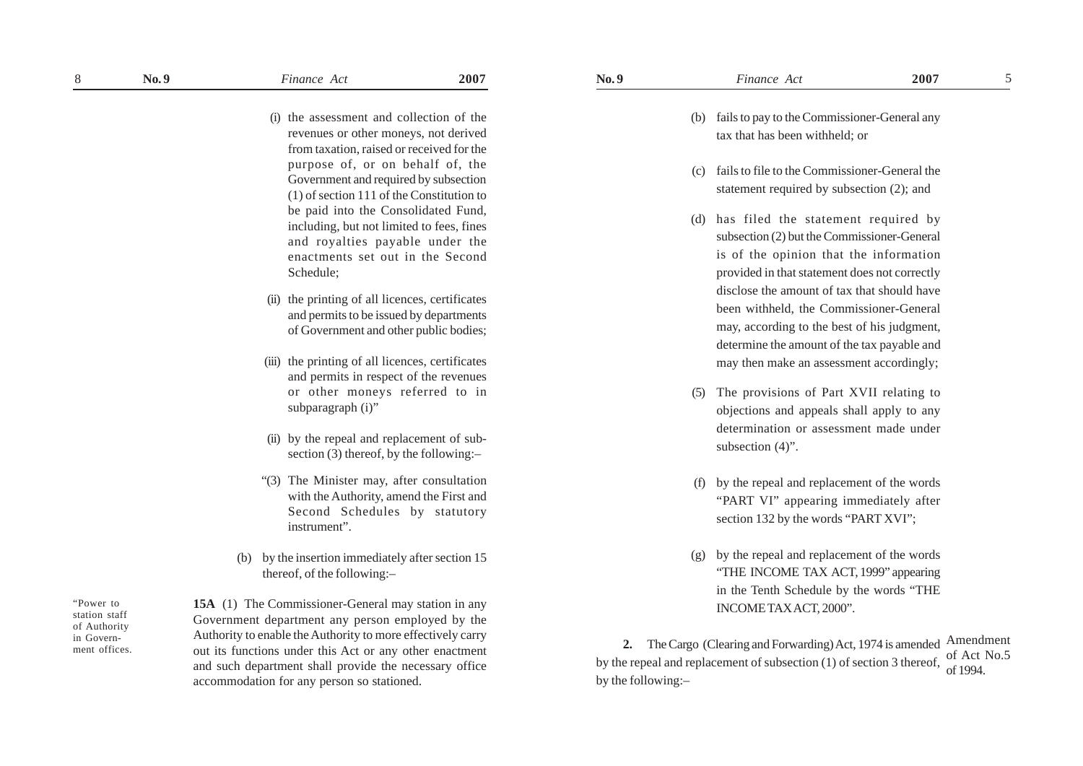- (i) the assessment and collection of the revenues or other moneys, not derived from taxation, raised or received for the purpose of, or on behalf of, the Government and required by subsection (1) of section 111 of the Constitution to
- be paid into the Consolidated Fund, including, but not limited to fees, fines and royalties payable under the enactments set out in the Second Schedule;
- (ii) the printing of all licences, certificates and permits to be issued by departments of Government and other public bodies;
- (iii) the printing of all licences, certificates and permits in respect of the revenues or other moneys referred to in subparagraph (i)"
- (ii) by the repeal and replacement of subsection (3) thereof, by the following:–
- "(3) The Minister may, after consultation with the Authority, amend the First and Second Schedules by statutory instrument".
- (b) by the insertion immediately after section 15 thereof, of the following:–

"Power to station staff of Authority in Government offices. **15A** (1) The Commissioner-General may station in any Government department any person employed by the Authority to enable the Authority to more effectively carry out its functions under this Act or any other enactment and such department shall provide the necessary office accommodation for any person so stationed.

- (b) fails to pay to the Commissioner-General any tax that has been withheld; or
- (c) fails to file to the Commissioner-General the statement required by subsection (2); and
- (d) has filed the statement required by subsection (2) but the Commissioner-General is of the opinion that the information provided in that statement does not correctly disclose the amount of tax that should have been withheld, the Commissioner-General may, according to the best of his judgment, determine the amount of the tax payable and may then make an assessment accordingly;
- (5) The provisions of Part XVII relating to objections and appeals shall apply to any determination or assessment made under subsection  $(4)$ ".
- (f) by the repeal and replacement of the words "PART VI" appearing immediately after section 132 by the words "PART XVI";
- (g) by the repeal and replacement of the words "THE INCOME TAX ACT, 1999" appearing in the Tenth Schedule by the words "THE INCOME TAX ACT, 2000".

2. The Cargo (Clearing and Forwarding) Act, 1974 is amended Amendment by the repeal and replacement of subsection (1) of section 3 thereof, by the following:– of Act No.5 of 1994.